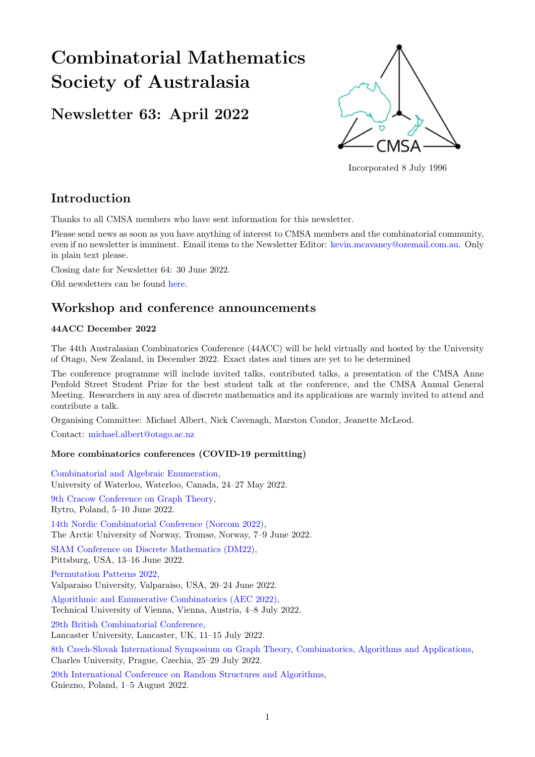# Combinatorial Mathematics Society of Australasia

# Newsletter 63: April 2022



Incorporated 8 July 1996

# Introduction

Thanks to all CMSA members who have sent information for this newsletter.

Please send news as soon as you have anything of interest to CMSA members and the combinatorial community, even if no newsletter is imminent. Email items to the Newsletter Editor: [kevin.mcavaney@ozemail.com.au.](mailto: kevin.mcavaney@ozemail.com.au) Only in plain text please.

Closing date for Newsletter 64: 30 June 2022.

Old newsletters can be found [here.](http://combinatorics-australasia.org/newsletters.html)

# Workshop and conference announcements

#### 44ACC December 2022

The 44th Australasian Combinatorics Conference (44ACC) will be held virtually and hosted by the University of Otago, New Zealand, in December 2022. Exact dates and times are yet to be determined

The conference programme will include invited talks, contributed talks, a presentation of the CMSA Anne Penfold Street Student Prize for the best student talk at the conference, and the CMSA Annual General Meeting. Researchers in any area of discrete mathematics and its applications are warmly invited to attend and contribute a talk.

Organising Committee: Michael Albert, Nick Cavenagh, Marston Condor, Jeanette McLeod.

Contact: [michael.albert@otago.ac.nz](mailto: michael.albert@otago.ac.nz)

#### More combinatorics conferences (COVID-19 permitting)

[Combinatorial and Algebraic Enumeration,](https://sites.google.com/view/combinatorial-enumeration/home) University of Waterloo, Waterloo, Canada, 24–27 May 2022. [9th Cracow Conference on Graph Theory,](http://www.9ccgt.agh.edu.pl/) Rytro, Poland, 5–10 June 2022. [14th Nordic Combinatorial Conference \(Norcom 2022\),](https://norcom2022.puremath.no/) The Arctic University of Norway, Tromsø, Norway, 7–9 June 2022. [SIAM Conference on Discrete Mathematics \(DM22\),](https://www.siam.org/conferences/cm/conference/dm22) Pittsburg, USA, 13–16 June 2022. [Permutation Patterns 2022,](https://www.valpo.edu/mathematics-statistics/permutation-patterns-2022/program/) Valparaiso University, Valparaiso, USA, 20–24 June 2022. [Algorithmic and Enumerative Combinatorics \(AEC 2022\),](https://www3.risc.jku.at/conferences/aec2022/?content=general) Technical University of Vienna, Vienna, Austria, 4–8 July 2022. [29th British Combinatorial Conference,](https://www.lancaster.ac.uk/maths/bcc2022/) Lancaster University, Lancaster, UK, 11–15 July 2022.

[8th Czech-Slovak International Symposium on Graph Theory, Combinatorics, Algorithms and Applications,](https://kam.mff.cuni.cz/conferences/csgt2022/) Charles University, Prague, Czechia, 25–29 July 2022.

[20th International Conference on Random Structures and Algorithms,](https://rsa2021.amu.edu.pl/) Gniezno, Poland, 1–5 August 2022.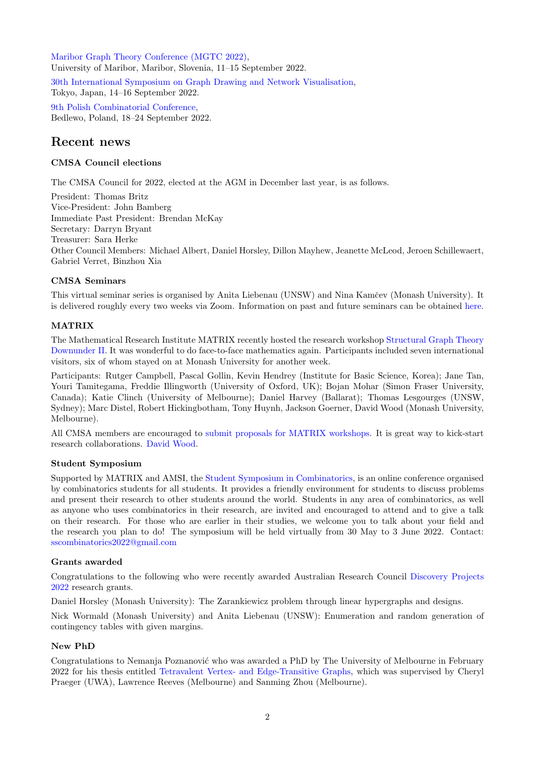[Maribor Graph Theory Conference \(MGTC 2022\),](https://conferences.matheo.si/event/37/) University of Maribor, Maribor, Slovenia, 11–15 September 2022. [30th International Symposium on Graph Drawing and Network Visualisation,](https://graphdrawing.github.io/gd2022/) Tokyo, Japan, 14–16 September 2022. [9th Polish Combinatorial Conference,](https://9pcc.wmi.amu.edu.pl/) Bedlewo, Poland, 18–24 September 2022.

### Recent news

#### CMSA Council elections

The CMSA Council for 2022, elected at the AGM in December last year, is as follows.

President: Thomas Britz Vice-President: John Bamberg Immediate Past President: Brendan McKay Secretary: Darryn Bryant Treasurer: Sara Herke Other Council Members: Michael Albert, Daniel Horsley, Dillon Mayhew, Jeanette McLeod, Jeroen Schillewaert, Gabriel Verret, Binzhou Xia

#### CMSA Seminars

This virtual seminar series is organised by Anita Liebenau (UNSW) and Nina Kamčey (Monash University). It is delivered roughly every two weeks via Zoom. Information on past and future seminars can be obtained [here.](http://combinatorics-australasia.org/seminars.html)

#### MATRIX

The Mathematical Research Institute MATRIX recently hosted the research workshop [Structural Graph Theory](https://www.matrix-inst.org.au/events/structural-graph-theory-downunder-ll/) [Downunder II.](https://www.matrix-inst.org.au/events/structural-graph-theory-downunder-ll/) It was wonderful to do face-to-face mathematics again. Participants included seven international visitors, six of whom stayed on at Monash University for another week.

Participants: Rutger Campbell, Pascal Gollin, Kevin Hendrey (Institute for Basic Science, Korea); Jane Tan, Youri Tamitegama, Freddie Illingworth (University of Oxford, UK); Bojan Mohar (Simon Fraser University, Canada); Katie Clinch (University of Melbourne); Daniel Harvey (Ballarat); Thomas Lesgourges (UNSW, Sydney); Marc Distel, Robert Hickingbotham, Tony Huynh, Jackson Goerner, David Wood (Monash University, Melbourne).

All CMSA members are encouraged to [submit proposals for MATRIX workshops.](https://www.matrix-inst.org.au/guidelines/) It is great way to kick-start research collaborations. [David Wood.](mailto: david.wood@monash.edu)

#### Student Symposium

Supported by MATRIX and AMSI, the [Student Symposium in Combinatorics,](https://sites.google.com/view/2022-student-symposium-comb/) is an online conference organised by combinatorics students for all students. It provides a friendly environment for students to discuss problems and present their research to other students around the world. Students in any area of combinatorics, as well as anyone who uses combinatorics in their research, are invited and encouraged to attend and to give a talk on their research. For those who are earlier in their studies, we welcome you to talk about your field and the research you plan to do! The symposium will be held virtually from 30 May to 3 June 2022. Contact: [sscombinatorics2022@gmail.com](mailto: sscombinatorics2022@gmail.com)

#### Grants awarded

Congratulations to the following who were recently awarded Australian Research Council [Discovery Projects](https://rms.arc.gov.au/RMS/Report/Download/Report/a3f6be6e-33f7-4fb5-98a6-7526aaa184cf/230) [2022](https://rms.arc.gov.au/RMS/Report/Download/Report/a3f6be6e-33f7-4fb5-98a6-7526aaa184cf/230) research grants.

Daniel Horsley (Monash University): The Zarankiewicz problem through linear hypergraphs and designs.

Nick Wormald (Monash University) and Anita Liebenau (UNSW): Enumeration and random generation of contingency tables with given margins.

#### New PhD

Congratulations to Nemanja Poznanović who was awarded a PhD by The University of Melbourne in February 2022 for his thesis entitled [Tetravalent Vertex- and Edge-Transitive Graphs,](https://minerva-access.unimelb.edu.au/items/529ef397-26f8-5d11-bafa-3b5cbd8c6c1c) which was supervised by Cheryl Praeger (UWA), Lawrence Reeves (Melbourne) and Sanming Zhou (Melbourne).